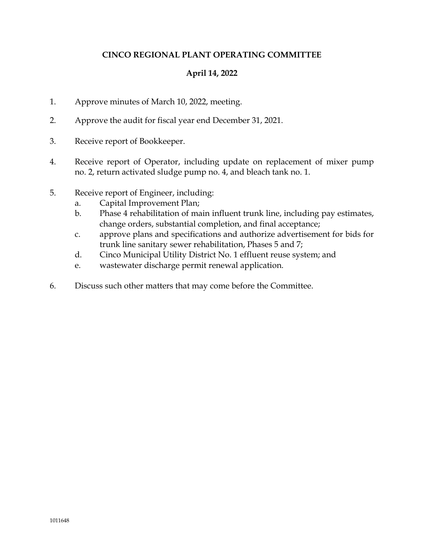# **CINCO REGIONAL PLANT OPERATING COMMITTEE**

# **April 14, 2022**

- 1. Approve minutes of March 10, 2022, meeting.
- 2. Approve the audit for fiscal year end December 31, 2021.
- 3. Receive report of Bookkeeper.
- 4. Receive report of Operator, including update on replacement of mixer pump no. 2, return activated sludge pump no. 4, and bleach tank no. 1.
- 5. Receive report of Engineer, including:
	- a. Capital Improvement Plan;
	- b. Phase 4 rehabilitation of main influent trunk line, including pay estimates, change orders, substantial completion, and final acceptance;
	- c. approve plans and specifications and authorize advertisement for bids for trunk line sanitary sewer rehabilitation, Phases 5 and 7;
	- d. Cinco Municipal Utility District No. 1 effluent reuse system; and
	- e. wastewater discharge permit renewal application.
- 6. Discuss such other matters that may come before the Committee.